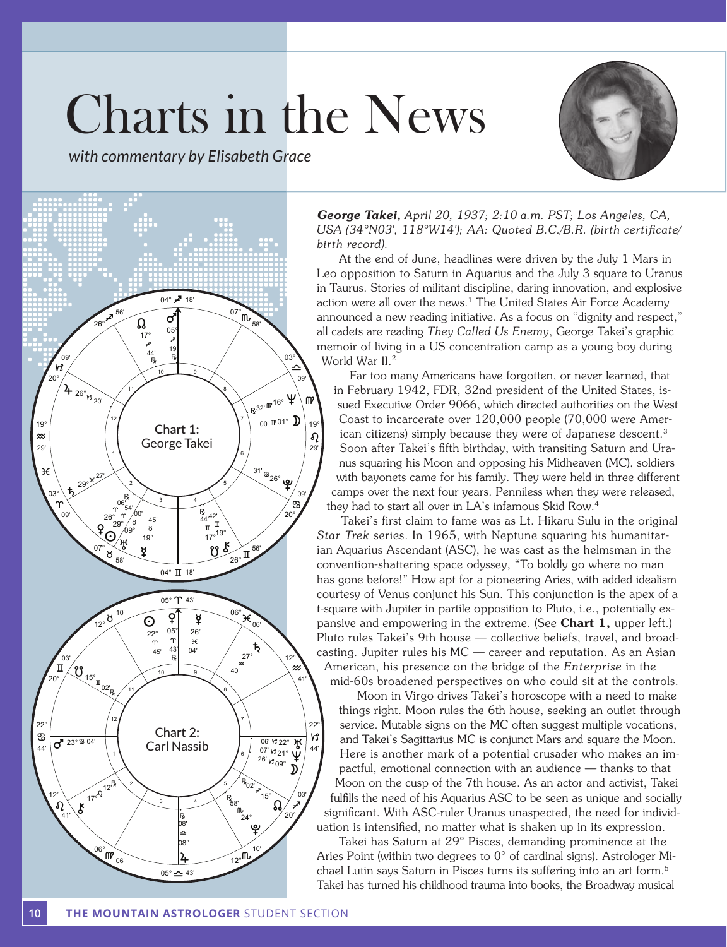# Charts in the News

*with commentary by Elisabeth Grace*





## *George Takei, April 20, 1937; 2:10 a.m. PST; Los Angeles, CA,*  USA (34°N03', 118°W14'); AA: Quoted B.C./B.R. (birth certificate/ *birth record).*

 At the end of June, headlines were driven by the July 1 Mars in Leo opposition to Saturn in Aquarius and the July 3 square to Uranus in Taurus. Stories of militant discipline, daring innovation, and explosive action were all over the news.<sup>1</sup> The United States Air Force Academy announced a new reading initiative. As a focus on "dignity and respect," all cadets are reading *They Called Us Enemy*, George Takei's graphic memoir of living in a US concentration camp as a young boy during World War II.<sup>2</sup>

Far too many Americans have forgotten, or never learned, that in February 1942, FDR, 32nd president of the United States, issued Executive Order 9066, which directed authorities on the West Coast to incarcerate over 120,000 people (70,000 were American citizens) simply because they were of Japanese descent.3 Soon after Takei's fifth birthday, with transiting Saturn and Uranus squaring his Moon and opposing his Midheaven (MC), soldiers with bayonets came for his family. They were held in three different camps over the next four years. Penniless when they were released, they had to start all over in LA's infamous Skid Row.<sup>4</sup>

Takei's first claim to fame was as Lt. Hikaru Sulu in the original *Star Trek* series. In 1965, with Neptune squaring his humanitarian Aquarius Ascendant (ASC), he was cast as the helmsman in the convention-shattering space odyssey, "To boldly go where no man has gone before!" How apt for a pioneering Aries, with added idealism courtesy of Venus conjunct his Sun. This conjunction is the apex of a t-square with Jupiter in partile opposition to Pluto, i.e., potentially expansive and empowering in the extreme. (See **Chart 1**, upper left.) Pluto rules Takei's 9th house — collective beliefs, travel, and broadcasting. Jupiter rules his MC — career and reputation. As an Asian American, his presence on the bridge of the *Enterprise* in the mid-60s broadened perspectives on who could sit at the controls.

Moon in Virgo drives Takei's horoscope with a need to make things right. Moon rules the 6th house, seeking an outlet through service. Mutable signs on the MC often suggest multiple vocations, and Takei's Sagittarius MC is conjunct Mars and square the Moon. Here is another mark of a potential crusader who makes an impactful, emotional connection with an audience — thanks to that Moon on the cusp of the 7th house. As an actor and activist, Takei ful fills the need of his Aquarius ASC to be seen as unique and socially significant. With ASC-ruler Uranus unaspected, the need for individuation is intensified, no matter what is shaken up in its expression.

 Takei has Saturn at 29° Pisces, demanding prominence at the Aries Point (within two degrees to 0° of cardinal signs). Astrologer Michael Lutin says Saturn in Pisces turns its suffering into an art form.<sup>5</sup> Takei has turned his childhood trauma into books, the Broadway musical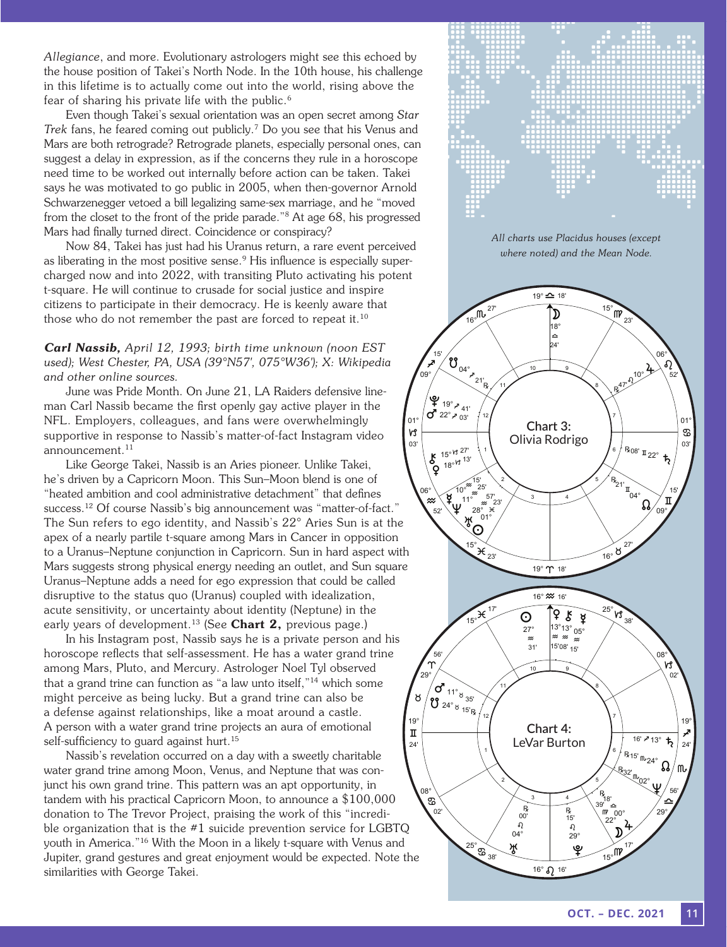*Allegiance*, and more. Evolutionary astrologers might see this echoed by the house position of Takei's North Node. In the 10th house, his challenge in this lifetime is to actually come out into the world, rising above the fear of sharing his private life with the public.<sup>6</sup>

Even though Takei's sexual orientation was an open secret among *Star Trek* fans, he feared coming out publicly.7 Do you see that his Venus and Mars are both retrograde? Retrograde planets, especially personal ones, can suggest a delay in expression, as if the concerns they rule in a horoscope need time to be worked out internally before action can be taken. Takei says he was motivated to go public in 2005, when then-governor Arnold Schwarzenegger vetoed a bill legalizing same-sex marriage, and he "moved Scriwarzenegger veroed a om reganzing same-sex marriage, and he moved<br>from the closet to the front of the pride parade."<sup>8</sup> At age 68, his progressed Mars had finally turned direct. Coincidence or conspiracy? 3:00 am PST +8:00 Temecula, California 33°N29'37'' 117°W08'51''

Now 84, Takei has just had his Uranus return, a rare event perceived as liberating in the most positive sense.<sup>9</sup> His influence is especially supercharged now and into 2022, with transiting Pluto activating his potent t-square. He will continue to crusade for social justice and inspire citizens to participate in their democracy. He is keenly aware that those who do not remember the past are forced to repeat it.<sup>10</sup>

## *Carl Nassib, April 12, 1993; birth time unknown (noon EST used); West Chester, PA, USA (39°N57', 075°W36'); X: Wikipedia and other online sources.*

June was Pride Month. On June 21, LA Raiders defensive lineman Carl Nassib became the first openly gay active player in the NFL. Employers, colleagues, and fans were overwhelmingly supportive in response to Nassib's matter-of-fact Instagram video announcement.<sup>11</sup>

Like George Takei, Nassib is an Aries pioneer. Unlike Takei, he's driven by a Capricorn Moon. This Sun–Moon blend is one of "heated ambition and cool administrative detachment" that defines success.<sup>12</sup> Of course Nassib's big announcement was "matter-of-fact." The Sun refers to ego identity, and Nassib's 22° Aries Sun is at the apex of a nearly partile t-square among Mars in Cancer in opposition to a Uranus–Neptune conjunction in Capricorn. Sun in hard aspect with Mars suggests strong physical energy needing an outlet, and Sun square Uranus–Neptune adds a need for ego expression that could be called disruptive to the status quo (Uranus) coupled with idealization, acute sensitivity, or uncertainty about identity (Neptune) in the early years of development.<sup>13</sup> (See Chart 2, previous page.)

In his Instagram post, Nassib says he is a private person and his horoscope reflects that self-assessment. He has a water grand trine among Mars, Pluto, and Mercury. Astrologer Noel Tyl observed that a grand trine can function as "a law unto itself,"14 which some might perceive as being lucky. But a grand trine can also be a defense against relationships, like a moat around a castle. A person with a water grand trine projects an aura of emotional self-sufficiency to guard against hurt.<sup>15</sup>

Nassib's revelation occurred on a day with a sweetly charitable water grand trine among Moon, Venus, and Neptune that was conjunct his own grand trine. This pattern was an apt opportunity, in tandem with his practical Capricorn Moon, to announce a \$100,000 donation to The Trevor Project, praising the work of this "incredible organization that is the #1 suicide prevention service for LGBTQ youth in America."16 With the Moon in a likely t-square with Venus and Jupiter, grand gestures and great enjoyment would be expected. Note the similarities with George Takei.



*All charts use Placidus houses (except where noted) and the Mean Node.*

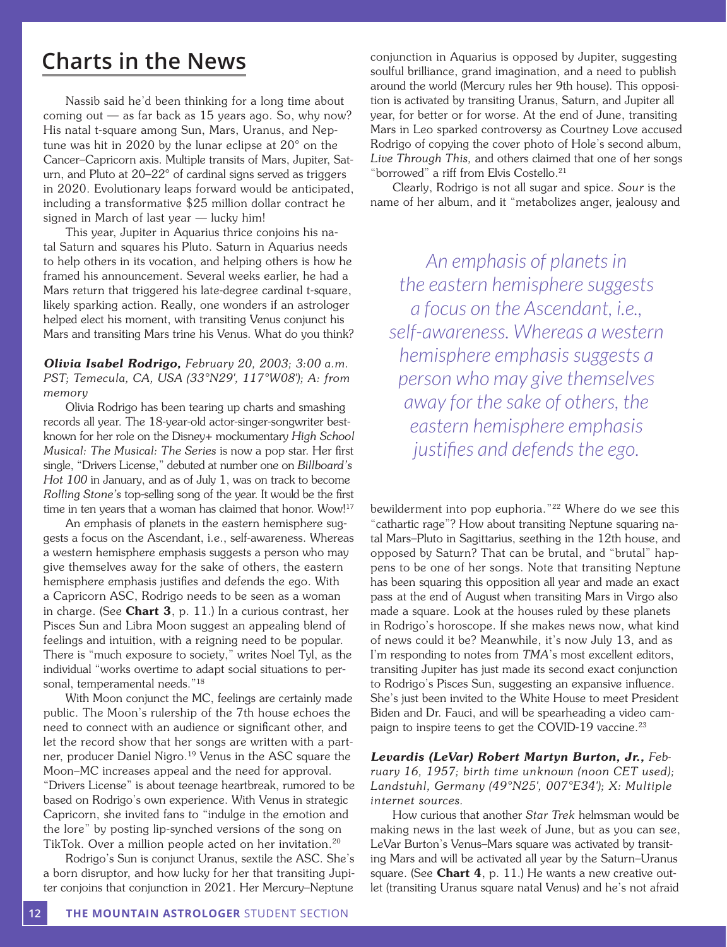## **Charts in the News**

Nassib said he'd been thinking for a long time about coming out  $-$  as far back as 15 years ago. So, why now? His natal t-square among Sun, Mars, Uranus, and Neptune was hit in 2020 by the lunar eclipse at 20° on the Cancer–Capricorn axis. Multiple transits of Mars, Jupiter, Saturn, and Pluto at 20–22° of cardinal signs served as triggers in 2020. Evolutionary leaps forward would be anticipated, including a transformative \$25 million dollar contract he signed in March of last year — lucky him!

This year, Jupiter in Aquarius thrice conjoins his natal Saturn and squares his Pluto. Saturn in Aquarius needs to help others in its vocation, and helping others is how he framed his announcement. Several weeks earlier, he had a Mars return that triggered his late-degree cardinal t-square, likely sparking action. Really, one wonders if an astrologer helped elect his moment, with transiting Venus conjunct his Mars and transiting Mars trine his Venus. What do you think?

### *Olivia Isabel Rodrigo, February 20, 2003; 3:00 a.m. PST; Temecula, CA, USA (33°N29', 117°W08'); A: from memory*

 Olivia Rodrigo has been tearing up charts and smashing records all year. The 18-year-old actor-singer-songwriter bestknown for her role on the Disney+ mockumentary *High School Musical: The Musical: The Series* is now a pop star. Her first single, "Drivers License," debuted at number one on *Billboard's Hot 100* in January, and as of July 1, was on track to become *Rolling Stone's* top-selling song of the year. It would be the first time in ten years that a woman has claimed that honor. Wow!<sup>17</sup>

An emphasis of planets in the eastern hemisphere suggests a focus on the Ascendant, i.e., self-awareness. Whereas a western hemisphere emphasis suggests a person who may give themselves away for the sake of others, the eastern hemisphere emphasis justifies and defends the ego. With a Capricorn ASC, Rodrigo needs to be seen as a woman in charge. (See **Chart 3**, p. 11.) In a curious contrast, her Pisces Sun and Libra Moon suggest an appealing blend of feelings and intuition, with a reigning need to be popular. There is "much exposure to society," writes Noel Tyl, as the individual "works overtime to adapt social situations to personal, temperamental needs."18

With Moon conjunct the MC, feelings are certainly made public. The Moon's rulership of the 7th house echoes the need to connect with an audience or significant other, and let the record show that her songs are written with a partner, producer Daniel Nigro.<sup>19</sup> Venus in the ASC square the Moon–MC increases appeal and the need for approval. "Drivers License" is about teenage heartbreak, rumored to be based on Rodrigo's own experience. With Venus in strategic Capricorn, she invited fans to "indulge in the emotion and the lore" by posting lip-synched versions of the song on TikTok. Over a million people acted on her invitation.<sup>20</sup>

Rodrigo's Sun is conjunct Uranus, sextile the ASC. She's a born disruptor, and how lucky for her that transiting Jupiter conjoins that conjunction in 2021. Her Mercury–Neptune

conjunction in Aquarius is opposed by Jupiter, suggesting soulful brilliance, grand imagination, and a need to publish around the world (Mercury rules her 9th house). This opposition is activated by transiting Uranus, Saturn, and Jupiter all year, for better or for worse. At the end of June, transiting Mars in Leo sparked controversy as Courtney Love accused Rodrigo of copying the cover photo of Hole's second album, *Live Through This,* and others claimed that one of her songs "borrowed" a riff from Elvis Costello.<sup>21</sup>

Clearly, Rodrigo is not all sugar and spice. *Sour* is the name of her album, and it "metabolizes anger, jealousy and

*An emphasis of planets in the eastern hemisphere suggests a focus on the Ascendant, i.e., self-awareness. Whereas a western hemisphere emphasis suggests a person who may give themselves away for the sake of others, the eastern hemisphere emphasis*  justifies and defends the ego.

bewilderment into pop euphoria."<sup>22</sup> Where do we see this "cathartic rage"? How about transiting Neptune squaring natal Mars–Pluto in Sagittarius, seething in the 12th house, and opposed by Saturn? That can be brutal, and "brutal" happens to be one of her songs. Note that transiting Neptune has been squaring this opposition all year and made an exact pass at the end of August when transiting Mars in Virgo also made a square. Look at the houses ruled by these planets in Rodrigo's horoscope. If she makes news now, what kind of news could it be? Meanwhile, it's now July 13, and as I'm responding to notes from *TMA*'s most excellent editors, transiting Jupiter has just made its second exact conjunction to Rodrigo's Pisces Sun, suggesting an expansive influence. She's just been invited to the White House to meet President Biden and Dr. Fauci, and will be spearheading a video campaign to inspire teens to get the COVID-19 vaccine.<sup>23</sup>

*Levardis (LeVar) Robert Martyn Burton, Jr., February 16, 1957; birth time unknown (noon CET used); Landstuhl, Germany (49°N25', 007°E34'); X: Multiple internet sources.*

How curious that another *Star Trek* helmsman would be making news in the last week of June, but as you can see, LeVar Burton's Venus–Mars square was activated by transiting Mars and will be activated all year by the Saturn–Uranus square. (See **Chart 4**, p. 11.) He wants a new creative outlet (transiting Uranus square natal Venus) and he's not afraid